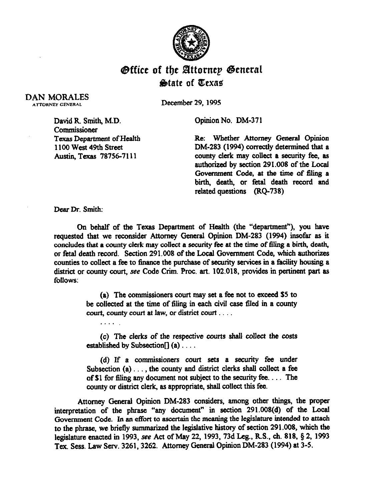

## Office of the Slttornep @eneral **State of Texas**

DAN MORALES ATTORNEY GENERAL

December 29,199s

Opinion No. DM-371

David R. Smith, M.D. Commissioner Texas Department of Health 1100 West 49th Street Austin, Texas 78756-7111

. .

Re: Whether Attorney General Opinion DM-283 (1994) correctly determined that a county *clerk* may collect a security fee, as authorized by section 291.008 of the Local Government Code, at the time of filing a birth, death, or fetal death record and related questions (RQ-738)

Dear Dr. smith:

Qn behalf of the Texas Department of Health (the "department"), you have requested that we reconsider Attorney General Opinion DM-283 (1994) insofar as it concludes that a county clerk may collect a security fee at the time of thing a birth, death, or fetal death record. Section 291.008 of the Local Government Code, which authorizes counties to collect a fee to fmance the purchase of security services in a facility housing a district or county court, see Code Crim. Proc. art. 102.018, provides in pertinent part as follows:

> (a) The commissioners court may set a fee not to exceed S5 to be collected at the time of filing in each civil case filed in a county court, county court at law, or district court  $\dots$ .

> (c) The clerks of the respective courts shall collect the costs established by Subsection $[]$  (a) . . . .

> (d) If a commissioners court sets a security fee under Subsection (a)..., the county and district clerks shall collect a fee of \$1 for tiling any document not subject to the security fee. . . The county or district clerk, as appropriate, shall collect this fee.

Attorney General Opinion DM-283 considers, among other things, the proper interpretation of the phrase "any document" in section 291.008(d) of the Local Government Code. In an effort to ascertain the meaning the legislature intended to attach to the phrase, we briefly summarized the legislative history of section 291.008, which the legislature enacted in 1993, see Act of May 22, 1993, 73d Leg., R.S., ch. 818, § 2, 1993 Tex. Sess. Law Serv. 3261, 3262. Attorney General Opinion DM-283 (1994) at 3-5.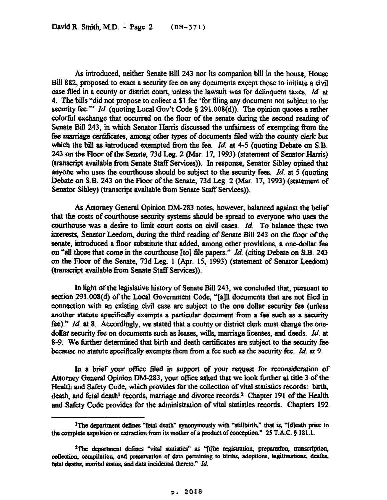As introduced, neither Senate BiU 243 nor its companion bill in the house, House Bill 882, proposed to exact a security fee on any documents except those to initiate a civil case fled in a county or district court, unless the lawsuit was for delinquent taxes. *Id.* at 4. The bills "did not propose to collect a \$1 fee 'for filing any document not subject to the security fee."" *Id.* (quoting Local Gov't Code § 291.008(d)). The opinion quotes a rather colorful exchange that occurred on the floor of the senate during the second reading of Senate Bill 243, in which Senator Harris discussed the unfairness of exempting from the fee marriage certificates, among other types of documents filed with the county clerk but which the bill as introduced exempted from the fee. *Id.* at 4-5 (quoting Debate on S.B. 243 on the Floor of the Senate, 73d Leg. 2 (Mar. 17, 1993) (statement of Senator Harris) (tmnscript available from Senate Staff Services)). In response, Senator Sibley opined that anyone who uses the courthouse should be subject to the security fees. *Id.* at 5 (quoting Debate on S.B. 243 on the Floor of the Senate, 73d Leg. 2 (Mar. 17, 1993) (statement of Senator Sibley) (transcript available from Senate Staff Services)).

As Attorney General Opinion DM-283 notes, however, balanced against the belief that the costs of courthouse security systems should be spread to everyone who uses the courthouse was a desire to limit court costs on civil cases. *Id*. To balance these two interests, Senator Leedom, during the third reading of Senate Bill 243 on the floor of the senate, introduced a floor substitute that added, among other provisions, a one-dollar fee on "all those that come in the courthouse [to] file papers." *Id.* (citing Debate on S.B. 243 on the Floor of the Senate, 73d Leg. 1 (Apr. 15, 1993) (statement of Senator Leedom) (transcript available from Senate Staff Services)).

In light of the legislative history of Senate Bill 243, we concluded that, pursuant to section 291.008(d) of the Local Government Code, "[a]ll documents that are not filed in connection with an existing civil case are subject to the one dollar security fee (unless another statute specifically exempts a particular document from a fee such as a security fee)." *Id.* at 8. Accordingly, we stated that a county or district clerk must charge the onedollar security fee on documents such as leases, wills, marriage licenses, and deeds. *Id. at*  8-9. We further determined that birth and death certificates are subject to the security fee because no statute specifically exempts them from a fee such as the security fee. *Id.* at 9.

In a brief your office filed in support of your request for reconsideration of Attorney General Opinion DM-283, your office asked that we look further at title 3 of the Health and Safety Code, which provides for the collection of vital statistics records: birth, death, and fetal death' records, marriage and divorce records.2 Chapter 191 of the Health and Safety Code provides for the administration of vital statistics records. Chapters 192

<sup>&</sup>lt;sup>1</sup>The department defines "fetal death" synonymously with "stillbirth," that is, " $\left[\frac{d}{dt}\right]$  prior to the complete expulsion or extraction from its mother of a product of conception." 25 T.A.C. § 181.1.

<sup>&</sup>lt;sup>2</sup>The department defines "vital statistics" as "[t]he registration, preparation, transcription, collection, compilation, and preservation of data pertaining to births, adoptions, legitimations, deaths, fetal deaths, marital status, and data incidental thereto." *Id.*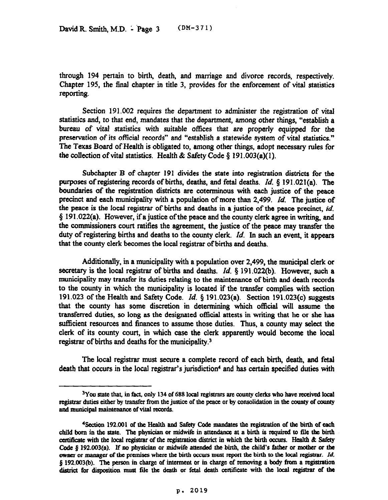through 194 pertain to birth, death, and marriage and divorce records, respectively. Chapter 195, the final chapter in title 3, provides for the enforcement of vital statistics reporting.

Section 191.002 requires the department to administer the registration of vital statistics and, to that end, mandates that the department, among other things, "establish a bureau of vital statistics with suitable offices that are properly equipped for the preservation of its official records" and "establish a statewide system of vital statistics." The Texas Board of Health is obligated to, among other things, adopt necessary rules for the collection of vital statistics. Health & Safety Code  $\S$  191.003(a)(1).

Subchapter B of chapter 191 divides the state into registration districts for the purposes of registering records of births, deaths, and fetal deaths. *Id*, § 191.021(a). The boundaries of the registration districts are coterminous with each justice of the peace precinct and each municipality with a population of more than 2,499. *Id.* The justice of the peace is the local registrar of births and deaths in a justice of the peace precinct, *id.*   $§$  191.022(a). However, if a justice of the peace and the county clerk agree in writing, and the commissioners court ratifies the agreement, the justice of the peace may transfer the duty of registering births and deaths to the county clerk. *Id.* In such an event, it appears that the county clerk becomes the local registrar of births and deaths.

Additionally, in a municipality with a population over 2,499, the municipal clerk or secretary is the local registrar of births and deaths. *Id. \$191.022(b).* However, **such a**  municipality may transfer its duties relating to the maintenance of birth and death records to the county in which the municipality is located if the transfer complies with section 191.023 of the Health and Safety Code. *Id.* 5 191.023(a). Section 191.023(c) suggests that the county has some discretion in determining which official will assume the transferred duties, so long as the designated official attests in writing that he or she has sufficient resources and finances to assume those duties. Thus, a county may select the clerk of its county court, in which case the clerk apparently would become the local registrar of births and deaths for the municipality.3

The local registrar must secure a complete record of each birth, death, and fetal death that occurs in the local registrar's jurisdiction<sup>4</sup> and has certain specified duties with

<sup>&</sup>lt;sup>3</sup>You state that, in fact, only 134 of 688 local registrars are county clerks who have received local registrar duties either by transfer from the justice of the peace or by consolidation in the county of county and municipal maintenance of vital records.

<sup>&</sup>lt;sup>4</sup> Section 192.001 of the Health and Safety Code mandates the registration of the birth of each child born in the state. The physician or midwife in attendance at a birth is required to file the birth certificate with the local registrar of the registration district in which the birth occurs. Health & Safety Code § 192.003(a). If no physician or midwife attended the birth, the child's father or mother or the **where** or manager of the premises where the birth occurs must report the birth to the local registrar. *Id.* **8 192.003(b). The pason in charge of interment or in charge of removing a body from a registmtioa**  district for disposition must file the death or fetal death certificate with the local registrar of the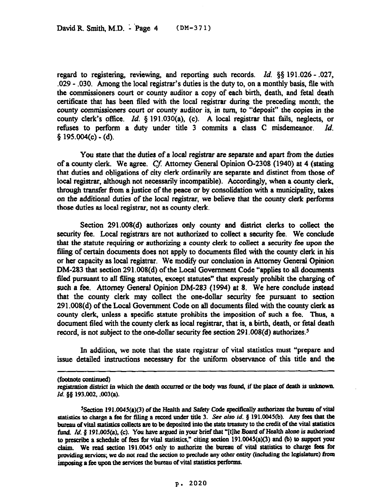regard to registering, reviewing, and reporting such records. *Id. 3s* 191.026 - ,027, .029 - ,030. Among the local registrar's duties is the duty to, on a monthly basis, file with the commissioners court or county auditor a copy of each birth, death, and fetal death certificate that has been filed with the local registrar during the preceding month; the county commissioners court or county auditor is, in turn, to "deposit" the copies in the county clerk's office. *Id.* 5 191.030(a), (c). A local registrar that fails, neglects, or refuses to perform a duty under title 3 commits a class C misdemeanor. *Id.*   $$ 195.004(c) - (d)$ .

You state that the duties of a local registrar are separate and apart from the duties of a county clerk. We agree. Cf. Attorney General Opinion O-2308 (1940) at 4 (stating that duties and obligations of city clerk ordinarily are separate and distinct from those of local registrar, although not necessarily incompatible). Accordingly, when a county clerk, through transfer from a justice of the peace or by consolidation with a municipality, takes on the additional duties of the local registrar, we believe that the county clerk performs those duties as local registrar, not as county clerk.

Section 291.008(d) authorizes only county and district clerks to collect the security fee. Local registrars are not authorized to collect a security fee. We conclude that the statute requiring or authorizing a county clerk to collect a security fee upon the filing of certain documents does not apply to documents filed with the county clerk in his or her capacity as local registrar. We modify our conclusion in Attorney General Opinion DM-283 that section 291.008(d) of the Local Government Code "applies to all documents filed pursuant to all filing statutes, except statutes" that expressly prohibit the charging of such a fee. Attorney General Opinion DM-283 (1994) *at* 8. We here conclude instead that the county clerk may collect the one-dollar security fee pursuant to section 291.008(d) of the Local Govermnent Code on all documents filed with the county clerk as county clerk, unless a specific statute prohibits the imposition of such a fee. Thus, a document filed with the county clerk as local registrar, that is, a birth, death, or fetal death record, is not subject to the one-dollar security fee section  $291.008(d)$  authorizes.<sup>5</sup>

In addition, we note that the state registrar of vital statistics must "prepare and issue detailed instructions necessary for the uniform observance of this title and the

<sup>(</sup>footnote continued)<br>registration district in which the death occurred or the body was found, if the place of death is unknown. Id. §§ 193.002, .003(a).

<sup>&</sup>lt;sup>5</sup> Section 191.0045(a)(3) of the Health and Safety Code specifically authorizes the bureau of vital **atatistics to charge a fee for filing a record under title 3.** See also *id.* § 191.0045(b). Any fees that the bureau of vital statistics collects are to be deposited into the state treasury to the credit of the vital statistics fund. *Id.* § 191.005(a), (c). You have argued in your brief that "[t]he Board of Health alone is authorized **to prsribe a schedule of fees for vital statistics," citing section 191.0045(a)(3) and @) to suppott yout**  claim. We read section 191.0045 only to authorize the bureau of vital statistics to charge fees for providing services; we do not read the section to preclude any other entity (including the legislature) from imposing a fee upon the services the bureau of vital statistics performs.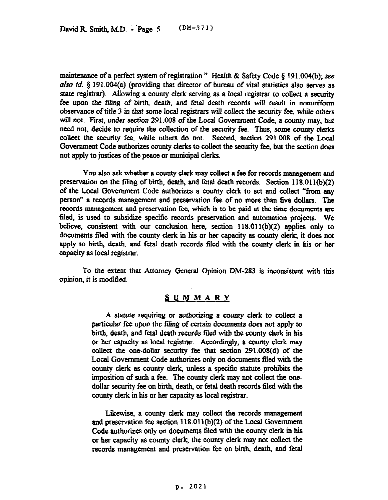maintenance of a perfect system of registration." Health & Safety Code  $\S$  191.004(b); see also *id.* § 191.004(a) (providing that director of bureau of vital statistics also serves as state registrar). Allowing a county clerk serving as a local registrar to collect a security fee upon the filing of birth, death, and fetal death records will result in nonuniform observance of title 3 in that some local registrars will collect the security fee, while others will not. First, under section 291.008 of the Local Government Code, a county may, but need not, decide to require the collection of the security fee. Thus, *some* county clerks collect the security fee, while others do not. Second, section 291.008 of the Local Government Code authorizes county clerks to collect the security fee, but the section does not apply to justices of the peace or municipal clerks.

You also ask whether a county clerk may collect a fee for records management and preservation on the filing of birth, death, and fetal death records. Section 118.01 l(b)(2) of the Local Government Code authorizes a county clerk to set and collect "from any person" a records management and preservation fee of no more than five dollars. The records management and preservation fee, which is to be paid at the time documents are tiled, is used to subsidize specific records preservation and automation projects. We believe, consistent with our conclusion here, section 118.011(b)(2) applies only to documents filed with the county clerk in his or her capacity as county clerk; it does not apply to birth, death, and fetal death records filed with the county clerk in his or her capacity as local registrar.

To the extent that Attorney General Opinion DM-283 is inconsistent with this opinion, it is modified.

## **SUMMARY**

A statute requiring or authorizing *a* county clerk to collect a particular fee upon the filing of certain documents does not apply to birth, death, and fetal death records filed with the county clerk in his or her capacity as local registrar. Accordingly, a county clerk may collect the one-dollar security fee that section 291.008(d) of the Local Government Code authorizes only on documents tiled with the county clerk as county clerk, unless a specific statute prohibits the imposition of such a fee. The county clerk may not collect the onedollar security fee on birth, death, or fetal death records filed with the county clerk in his or her capacity as local registrar.

Likewise, a county clerk may collect the records management and preservation fee section 118.01 l(b)(2) of the Local Government Code authorizes only on documents filed with the county clerk in his or her capacity as county clerk, the county clerk may not collect the records management and preservation fee on birth, death, and fetal